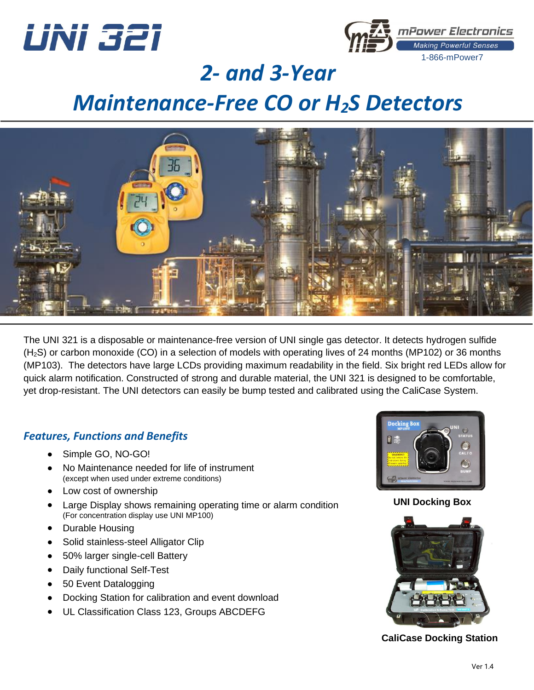



## *2- and 3-Year*

## *Maintenance-Free CO or H2S Detectors*



The UNI 321 is a disposable or maintenance-free version of UNI single gas detector. It detects hydrogen sulfide (H2S) or carbon monoxide (CO) in a selection of models with operating lives of 24 months (MP102) or 36 months (MP103). The detectors have large LCDs providing maximum readability in the field. Six bright red LEDs allow for quick alarm notification. Constructed of strong and durable material, the UNI 321 is designed to be comfortable, yet drop-resistant. The UNI detectors can easily be bump tested and calibrated using the CaliCase System.

#### *Features, Functions and Benefits*

- Simple GO, NO-GO!
- No Maintenance needed for life of instrument (except when used under extreme conditions)
- Low cost of ownership
- Large Display shows remaining operating time or alarm condition (For concentration display use UNI MP100)
- Durable Housing
- Solid stainless-steel Alligator Clip
- 50% larger single-cell Battery
- Daily functional Self-Test
- 50 Event Datalogging
- Docking Station for calibration and event download
- UL Classification Class 123, Groups ABCDEFG



**UNI Docking Box**



**CaliCase Docking Station**